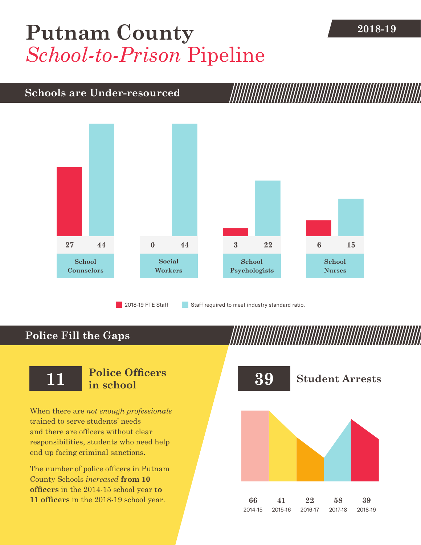# [Putnam County](DBF_County) **2018-19** *School-to-Prison* Pipeline

### **Schools are Under-resourced**



2018-19 FTE Staff **Staff required to meet industry standard ratio.** 

## **Police Fill the Gaps**

When there are *not enough professionals* trained to serve students' needs and there are officers without clear responsibilities, students who need help end up facing criminal sanctions.

The number of police officers in [Putnam](DBF_County)  [County](DBF_County) Schools *increased* **from [10](DBF_PO1415)  officers** in the 2014-15 school year **to [11](DBF_PO) officers** in the 2018-19 school year.